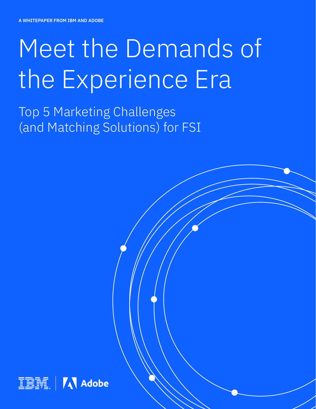# Meet the Demands of the Experience Era

Top 5 Marketing Challenges (and Matching Solutions) for FSI

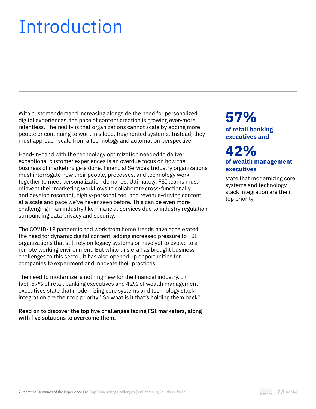# Introduction

With customer demand increasing alongside the need for personalized digital experiences, the pace of content creation is growing ever-more relentless. The reality is that organizations cannot scale by adding more people or continuing to work in siloed, fragmented systems. Instead, they must approach scale from a technology and automation perspective.

Hand-in-hand with the technology optimization needed to deliver exceptional customer experiences is an overdue focus on how the business of marketing gets done. Financial Services Industry organizations must interrogate how their people, processes, and technology work together to meet personalization demands. Ultimately, FSI teams must reinvent their marketing workflows to collaborate cross-functionally and develop resonant, highly-personalized, and revenue-driving content at a scale and pace we've never seen before. This can be even more challenging in an industry like Financial Services due to industry regulation surrounding data privacy and security.

The COVID-19 pandemic and work from home trends have accelerated the need for dynamic digital content, adding increased pressure to FSI organizations that still rely on legacy systems or have yet to evolve to a remote working environment. But while this era has brought business challenges to this sector, it has also opened up opportunities for companies to experiment and innovate their practices.

The need to modernize is nothing new for the financial industry. In fact, 57% of retail banking executives and 42% of wealth management executives state that modernizing core systems and technology stack integration are their top priority.<sup>1</sup> So what is it that's holding them back?

Read on to discover the top five challenges facing FSI marketers, along with five solutions to overcome them.

### **of retail banking executives and 57%**

### **of wealth management executives 42%**

state that modernizing core systems and technology stack integration are their top priority.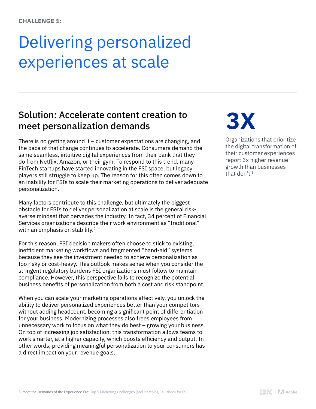## Delivering personalized experiences at scale

### Solution: Accelerate content creation to meet personalization demands

There is no getting around it – customer expectations are changing, and the pace of that change continues to accelerate. Consumers demand the same seamless, intuitive digital experiences from their bank that they do from Netflix, Amazon, or their gym. To respond to this trend, many FinTech startups have started innovating in the FSI space, but legacy players still struggle to keep up. The reason for this often comes down to an inability for FSIs to scale their marketing operations to deliver adequate personalization.

Many factors contribute to this challenge, but ultimately the biggest obstacle for FSIs to deliver personalization at scale is the general riskaverse mindset that pervades the industry. In fact, 34 percent of Financial Services organizations describe their work environment as "traditional" with an emphasis on stability.<sup>2</sup>

For this reason, FSI decision makers often choose to stick to existing, inefficient marketing workflows and fragmented "band-aid" systems because they see the investment needed to achieve personalization as too risky or cost-heavy. This outlook makes sense when you consider the stringent regulatory burdens FSI organizations must follow to maintain compliance. However, this perspective fails to recognize the potential business benefits of personalization from both a cost and risk standpoint.

When you can scale your marketing operations effectively, you unlock the ability to deliver personalized experiences better than your competitors without adding headcount, becoming a significant point of differentiation for your business. Modernizing processes also frees employees from unnecessary work to focus on what they do best – growing your business. On top of increasing job satisfaction, this transformation allows teams to work smarter, at a higher capacity, which boosts efficiency and output. In other words, providing meaningful personalization to your consumers has a direct impact on your revenue goals.

# **3X**

Organizations that prioritize the digital transformation of their customer experiences report 3x higher revenue growth than businesses that don't.3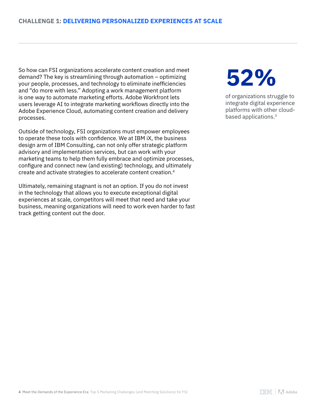So how can FSI organizations accelerate content creation and meet demand? The key is streamlining through automation – optimizing your people, processes, and technology to eliminate inefficiencies and "do more with less." Adopting a work management platform is one way to automate marketing efforts. Adobe Workfront lets users leverage AI to integrate marketing workflows directly into the Adobe Experience Cloud, automating content creation and delivery processes.

Outside of technology, FSI organizations must empower employees to operate these tools with confidence. We at IBM iX, the business design arm of IBM Consulting, can not only offer strategic platform advisory and implementation services, but can work with your marketing teams to help them fully embrace and optimize processes, configure and connect new (and existing) technology, and ultimately create and activate strategies to accelerate content creation.4

Ultimately, remaining stagnant is not an option. If you do not invest in the technology that allows you to execute exceptional digital experiences at scale, competitors will meet that need and take your business, meaning organizations will need to work even harder to fast track getting content out the door.

# **52%**

of organizations struggle to integrate digital experience platforms with other cloudbased applications.3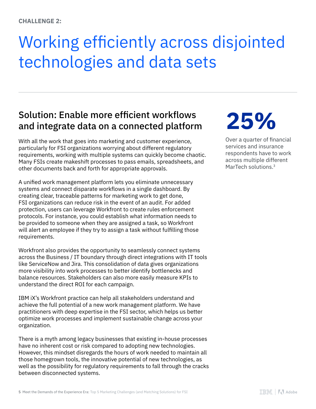# Working efficiently across disjointed technologies and data sets

## Solution: Enable more efficient workflows and integrate data on a connected platform

With all the work that goes into marketing and customer experience, particularly for FSI organizations worrying about different regulatory requirements, working with multiple systems can quickly become chaotic. Many FSIs create makeshift processes to pass emails, spreadsheets, and other documents back and forth for appropriate approvals.

A unified work management platform lets you eliminate unnecessary systems and connect disparate workflows in a single dashboard. By creating clear, traceable patterns for marketing work to get done, FSI organizations can reduce risk in the event of an audit. For added protection, users can leverage Workfront to create rules enforcement protocols. For instance, you could establish what information needs to be provided to someone when they are assigned a task, so Workfront will alert an employee if they try to assign a task without fulfilling those requirements.

Workfront also provides the opportunity to seamlessly connect systems across the Business / IT boundary through direct integrations with IT tools like ServiceNow and Jira. This consolidation of data gives organizations more visibility into work processes to better identify bottlenecks and balance resources. Stakeholders can also more easily measure KPIs to understand the direct ROI for each campaign.

IBM iX's Workfront practice can help all stakeholders understand and achieve the full potential of a new work management platform. We have practitioners with deep expertise in the FSI sector, which helps us better optimize work processes and implement sustainable change across your organization.

There is a myth among legacy businesses that existing in-house processes have no inherent cost or risk compared to adopting new technologies. However, this mindset disregards the hours of work needed to maintain all those homegrown tools, the innovative potential of new technologies, as well as the possibility for regulatory requirements to fall through the cracks between disconnected systems.

# **25%**

Over a quarter of financial services and insurance respondents have to work across multiple different MarTech solutions.<sup>3</sup>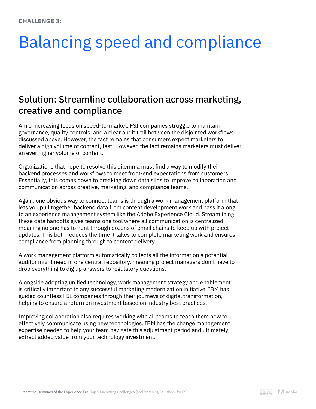# Balancing speed and compliance

### Solution: Streamline collaboration across marketing, creative and compliance

Amid increasing focus on speed-to-market, FSI companies struggle to maintain governance, quality controls, and a clear audit trail between the disjointed workflows discussed above. However, the fact remains that consumers expect marketers to deliver a high volume of content, fast. However, the fact remains marketers must deliver an ever higher volume of content.

Organizations that hope to resolve this dilemma must find a way to modify their backend processes and workflows to meet front-end expectations from customers. Essentially, this comes down to breaking down data silos to improve collaboration and communication across creative, marketing, and compliance teams.

Again, one obvious way to connect teams is through a work management platform that lets you pull together backend data from content development work and pass it along to an experience management system like the Adobe Experience Cloud. Streamlining these data handoffs gives teams one tool where all communication is centralized, meaning no one has to hunt through dozens of email chains to keep up with project updates. This both reduces the time it takes to complete marketing work and ensures compliance from planning through to content delivery.

A work management platform automatically collects all the information a potential auditor might need in one central repository, meaning project managers don't have to drop everything to dig up answers to regulatory questions.

Alongside adopting unified technology, work management strategy and enablement is critically important to any successful marketing modernization initiative. IBM has guided countless FSI companies through their journeys of digital transformation, helping to ensure a return on investment based on industry best practices.

Improving collaboration also requires working with all teams to teach them how to effectively communicate using new technologies. IBM has the change management expertise needed to help your team navigate this adjustment period and ultimately extract added value from your technology investment.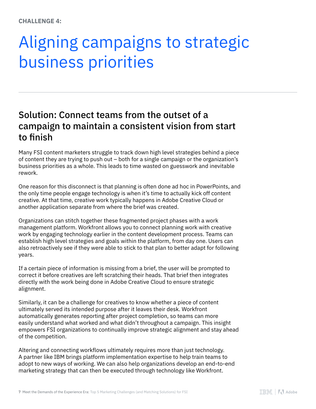## Aligning campaigns to strategic business priorities

### Solution: Connect teams from the outset of a campaign to maintain a consistent vision from start to finish

Many FSI content marketers struggle to track down high level strategies behind a piece of content they are trying to push out – both for a single campaign or the organization's business priorities as a whole. This leads to time wasted on guesswork and inevitable rework.

One reason for this disconnect is that planning is often done ad hoc in PowerPoints, and the only time people engage technology is when it's time to actually kick off content creative. At that time, creative work typically happens in Adobe Creative Cloud or another application separate from where the brief was created.

Organizations can stitch together these fragmented project phases with a work management platform. Workfront allows you to connect planning work with creative work by engaging technology earlier in the content development process. Teams can establish high level strategies and goals within the platform, from day one. Users can also retroactively see if they were able to stick to that plan to better adapt for following years.

If a certain piece of information is missing from a brief, the user will be prompted to correct it before creatives are left scratching their heads. That brief then integrates directly with the work being done in Adobe Creative Cloud to ensure strategic alignment.

Similarly, it can be a challenge for creatives to know whether a piece of content ultimately served its intended purpose after it leaves their desk. Workfront automatically generates reporting after project completion, so teams can more easily understand what worked and what didn't throughout a campaign. This insight empowers FSI organizations to continually improve strategic alignment and stay ahead of the competition.

Altering and connecting workflows ultimately requires more than just technology. A partner like IBM brings platform implementation expertise to help train teams to adopt to new ways of working. We can also help organizations develop an end-to-end marketing strategy that can then be executed through technology like Workfront.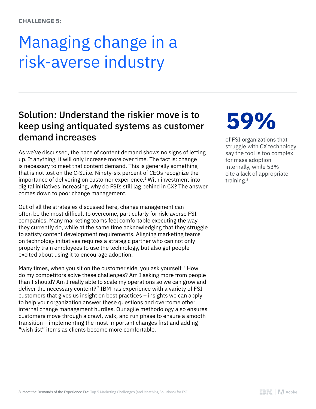## Managing change in a risk-averse industry

### Solution: Understand the riskier move is to keep using antiquated systems as customer demand increases

As we've discussed, the pace of content demand shows no signs of letting up. If anything, it will only increase more over time. The fact is: change is necessary to meet that content demand. This is generally something that is not lost on the C-Suite. Ninety-six percent of CEOs recognize the importance of delivering on customer experience.<sup>2</sup> With investment into digital initiatives increasing, why do FSIs still lag behind in CX? The answer comes down to poor change management.

Out of all the strategies discussed here, change management can often be the most difficult to overcome, particularly for risk-averse FSI companies. Many marketing teams feel comfortable executing the way they currently do, while at the same time acknowledging that they struggle to satisfy content development requirements. Aligning marketing teams on technology initiatives requires a strategic partner who can not only properly train employees to use the technology, but also get people excited about using it to encourage adoption.

Many times, when you sit on the customer side, you ask yourself, "How do my competitors solve these challenges? Am I asking more from people than I should? Am I really able to scale my operations so we can grow and deliver the necessary content?" IBM has experience with a variety of FSI customers that gives us insight on best practices – insights we can apply to help your organization answer these questions and overcome other internal change management hurdles. Our agile methodology also ensures customers move through a crawl, walk, and run phase to ensure a smooth transition – implementing the most important changes first and adding "wish list" items as clients become more comfortable.

# **59%**

of FSI organizations that struggle with CX technology say the tool is too complex for mass adoption internally, while 53% cite a lack of appropriate training.2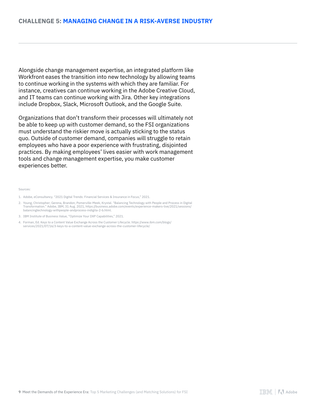Alongside change management expertise, an integrated platform like Workfront eases the transition into new technology by allowing teams to continue working in the systems with which they are familiar. For instance, creatives can continue working in the Adobe Creative Cloud, and IT teams can continue working with Jira. Other key integrations include Dropbox, Slack, Microsoft Outlook, and the Google Suite.

Organizations that don't transform their processes will ultimately not be able to keep up with customer demand, so the FSI organizations must understand the riskier move is actually sticking to the status quo. Outside of customer demand, companies will struggle to retain employees who have a poor experience with frustrating, disjointed practices. By making employees' lives easier with work management tools and change management expertise, you make customer experiences better.

#### Sources:

- 2. Young, Christopher; Gerena, Brandon; Pomerville-Meek, Krystal. "Balancing Technology with People and Process in Digital<br>/Transformation." Adobe, IBM, 31 Aug. 2021, https://business.adobe.com/events/experience-makers-liv balancingtechnology-withpeople-andprocess-indigita-2-b.html.
- 3. IBM Institute of Business Value, "Optimize Your DXP Capabilities," 2021.
- 4. Forman, Ed. Keys to a Content Value Exchange Across the Customer Lifecycle. https://www.ibm.com/blogs/ services/2021/07/16/3-keys-to-a-content-value-exchange-across-the-customer-lifecycle/

<sup>1.</sup> Adobe, eConsultancy. "2021 Digital Trends: Financial Services & Insurance in Focus," 2021.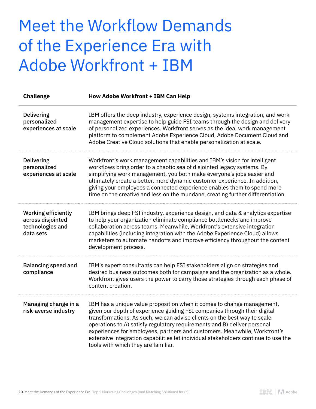## Meet the Workflow Demands of the Experience Era with Adobe Workfront + IBM

| <b>Challenge</b>                                                                 | <b>How Adobe Workfront + IBM Can Help</b>                                                                                                                                                                                                                                                                                                                                                                                                                                                                             |
|----------------------------------------------------------------------------------|-----------------------------------------------------------------------------------------------------------------------------------------------------------------------------------------------------------------------------------------------------------------------------------------------------------------------------------------------------------------------------------------------------------------------------------------------------------------------------------------------------------------------|
| <b>Delivering</b><br>personalized<br>experiences at scale                        | IBM offers the deep industry, experience design, systems integration, and work<br>management expertise to help guide FSI teams through the design and delivery<br>of personalized experiences. Workfront serves as the ideal work management<br>platform to complement Adobe Experience Cloud, Adobe Document Cloud and<br>Adobe Creative Cloud solutions that enable personalization at scale.                                                                                                                       |
| <b>Delivering</b><br>personalized<br>experiences at scale                        | Workfront's work management capabilities and IBM's vision for intelligent<br>workflows bring order to a chaotic sea of disjointed legacy systems. By<br>simplifying work management, you both make everyone's jobs easier and<br>ultimately create a better, more dynamic customer experience. In addition,<br>giving your employees a connected experience enables them to spend more<br>time on the creative and less on the mundane, creating further differentiation.                                             |
| <b>Working efficiently</b><br>across disjointed<br>technologies and<br>data sets | IBM brings deep FSI industry, experience design, and data & analytics expertise<br>to help your organization eliminate compliance bottlenecks and improve<br>collaboration across teams. Meanwhile, Workfront's extensive integration<br>capabilities (including integration with the Adobe Experience Cloud) allows<br>marketers to automate handoffs and improve efficiency throughout the content<br>development process.                                                                                          |
| <b>Balancing speed and</b><br>compliance                                         | IBM's expert consultants can help FSI stakeholders align on strategies and<br>desired business outcomes both for campaigns and the organization as a whole.<br>Workfront gives users the power to carry those strategies through each phase of<br>content creation.                                                                                                                                                                                                                                                   |
| Managing change in a<br>risk-averse industry                                     | IBM has a unique value proposition when it comes to change management,<br>given our depth of experience guiding FSI companies through their digital<br>transformations. As such, we can advise clients on the best way to scale<br>operations to A) satisfy regulatory requirements and B) deliver personal<br>experiences for employees, partners and customers. Meanwhile, Workfront's<br>extensive integration capabilities let individual stakeholders continue to use the<br>tools with which they are familiar. |